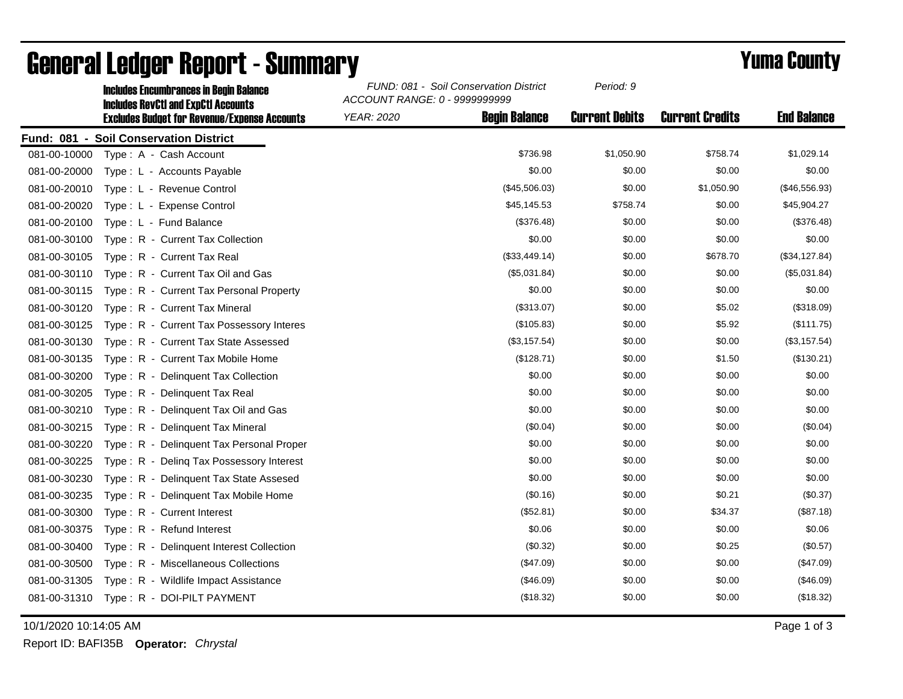|              | <b>Includes Encumbrances in Begin Balance</b><br><b>Includes RevCtI and ExpCtI Accounts</b> | FUND: 081 - Soil Conservation District<br>ACCOUNT RANGE: 0 - 9999999999 |                      | Period: 9             |                        |                    |
|--------------|---------------------------------------------------------------------------------------------|-------------------------------------------------------------------------|----------------------|-----------------------|------------------------|--------------------|
|              | <b>Excludes Budget for Revenue/Expense Accounts</b>                                         | <b>YEAR: 2020</b>                                                       | <b>Begin Balance</b> | <b>Current Debits</b> | <b>Current Credits</b> | <b>End Balance</b> |
|              | Fund: 081 - Soil Conservation District                                                      |                                                                         |                      |                       |                        |                    |
| 081-00-10000 | Type: A - Cash Account                                                                      |                                                                         | \$736.98             | \$1,050.90            | \$758.74               | \$1,029.14         |
| 081-00-20000 | Type: L - Accounts Payable                                                                  |                                                                         | \$0.00               | \$0.00                | \$0.00                 | \$0.00             |
| 081-00-20010 | Type: L - Revenue Control                                                                   |                                                                         | (\$45,506.03)        | \$0.00                | \$1,050.90             | (\$46,556.93)      |
| 081-00-20020 | Type: L - Expense Control                                                                   |                                                                         | \$45,145.53          | \$758.74              | \$0.00                 | \$45,904.27        |
| 081-00-20100 | Type: L - Fund Balance                                                                      |                                                                         | (\$376.48)           | \$0.00                | \$0.00                 | (\$376.48)         |
| 081-00-30100 | Type: R - Current Tax Collection                                                            |                                                                         | \$0.00               | \$0.00                | \$0.00                 | \$0.00             |
| 081-00-30105 | Type: R - Current Tax Real                                                                  |                                                                         | (\$33,449.14)        | \$0.00                | \$678.70               | (\$34, 127.84)     |
| 081-00-30110 | Type: R - Current Tax Oil and Gas                                                           |                                                                         | (\$5,031.84)         | \$0.00                | \$0.00                 | (\$5,031.84)       |
| 081-00-30115 | Type: R - Current Tax Personal Property                                                     |                                                                         | \$0.00               | \$0.00                | \$0.00                 | \$0.00             |
| 081-00-30120 | Type: R - Current Tax Mineral                                                               |                                                                         | (\$313.07)           | \$0.00                | \$5.02                 | (\$318.09)         |
| 081-00-30125 | Type: R - Current Tax Possessory Interes                                                    |                                                                         | (\$105.83)           | \$0.00                | \$5.92                 | (\$111.75)         |
| 081-00-30130 | Type: R - Current Tax State Assessed                                                        |                                                                         | (\$3,157.54)         | \$0.00                | \$0.00                 | (\$3,157.54)       |
| 081-00-30135 | Type: R - Current Tax Mobile Home                                                           |                                                                         | (\$128.71)           | \$0.00                | \$1.50                 | (\$130.21)         |
| 081-00-30200 | Type: R - Delinquent Tax Collection                                                         |                                                                         | \$0.00               | \$0.00                | \$0.00                 | \$0.00             |
| 081-00-30205 | Type: R - Delinguent Tax Real                                                               |                                                                         | \$0.00               | \$0.00                | \$0.00                 | \$0.00             |
| 081-00-30210 | Type: R - Delinquent Tax Oil and Gas                                                        |                                                                         | \$0.00               | \$0.00                | \$0.00                 | \$0.00             |
| 081-00-30215 | Type: R - Delinguent Tax Mineral                                                            |                                                                         | (\$0.04)             | \$0.00                | \$0.00                 | $(\$0.04)$         |
| 081-00-30220 | Type: R - Delinquent Tax Personal Proper                                                    |                                                                         | \$0.00               | \$0.00                | \$0.00                 | \$0.00             |
| 081-00-30225 | Type: R - Deling Tax Possessory Interest                                                    |                                                                         | \$0.00               | \$0.00                | \$0.00                 | \$0.00             |
| 081-00-30230 | Type: R - Delinquent Tax State Assesed                                                      |                                                                         | \$0.00               | \$0.00                | \$0.00                 | \$0.00             |
| 081-00-30235 | Type: R - Delinquent Tax Mobile Home                                                        |                                                                         | (\$0.16)             | \$0.00                | \$0.21                 | (\$0.37)           |
| 081-00-30300 | Type: R - Current Interest                                                                  |                                                                         | (\$52.81)            | \$0.00                | \$34.37                | (\$87.18)          |
| 081-00-30375 | Type: R - Refund Interest                                                                   |                                                                         | \$0.06               | \$0.00                | \$0.00                 | \$0.06             |
| 081-00-30400 | Type: R - Delinquent Interest Collection                                                    |                                                                         | (\$0.32)             | \$0.00                | \$0.25                 | (\$0.57)           |
| 081-00-30500 | Type: R - Miscellaneous Collections                                                         |                                                                         | (\$47.09)            | \$0.00                | \$0.00                 | (\$47.09)          |
| 081-00-31305 | Type: R - Wildlife Impact Assistance                                                        |                                                                         | (\$46.09)            | \$0.00                | \$0.00                 | (\$46.09)          |
| 081-00-31310 | Type: R - DOI-PILT PAYMENT                                                                  |                                                                         | (\$18.32)            | \$0.00                | \$0.00                 | (\$18.32)          |

## General Ledger Report - Summary **Example 2018** Yuma County

10/1/2020 10:14:05 AM Page 1 of 3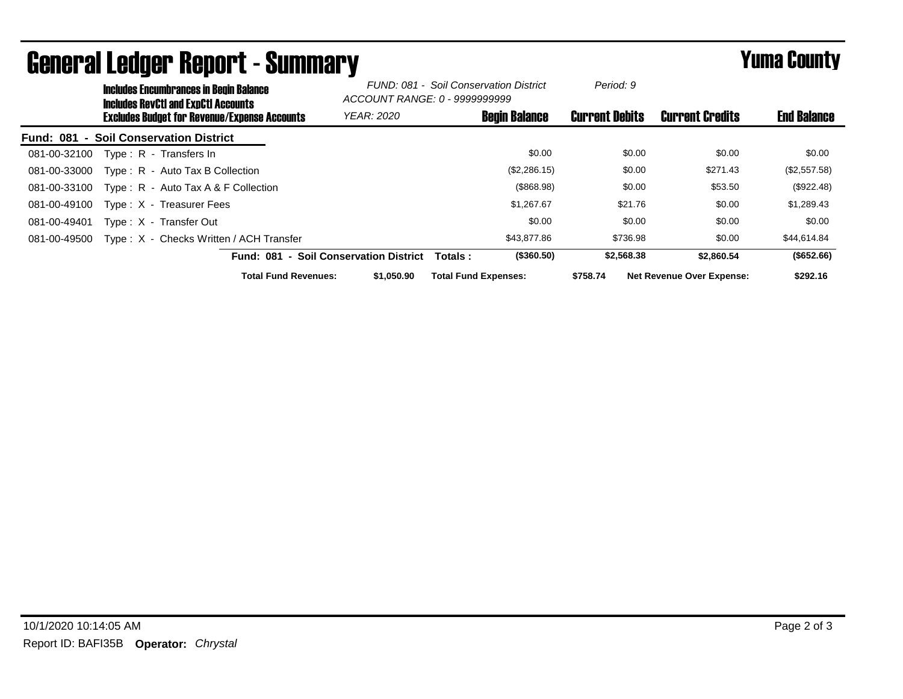|                  | <b>Includes Encumbrances in Begin Balance</b><br><b>Includes RevCtI and ExpCtI Accounts</b><br><b>Excludes Budget for Revenue/Expense Accounts</b> |                                         | -                                      | FUND: 081 - Soil Conservation District<br>ACCOUNT RANGE: 0 - 9999999999 |                      | Period: 9             |                                  |                    |
|------------------|----------------------------------------------------------------------------------------------------------------------------------------------------|-----------------------------------------|----------------------------------------|-------------------------------------------------------------------------|----------------------|-----------------------|----------------------------------|--------------------|
|                  |                                                                                                                                                    |                                         | <b>YEAR: 2020</b>                      |                                                                         | <b>Begin Balance</b> | <b>Current Debits</b> | <b>Current Credits</b>           | <b>End Balance</b> |
| <b>Fund: 081</b> |                                                                                                                                                    | - Soil Conservation District            |                                        |                                                                         |                      |                       |                                  |                    |
| 081-00-32100     |                                                                                                                                                    | Type: R - Transfers In                  |                                        |                                                                         | \$0.00               | \$0.00                | \$0.00                           | \$0.00             |
| 081-00-33000     |                                                                                                                                                    | Type: R - Auto Tax B Collection         |                                        |                                                                         | (\$2,286.15)         | \$0.00                | \$271.43                         | (\$2,557.58)       |
| 081-00-33100     |                                                                                                                                                    | Type: $R -$ Auto Tax A & F Collection   |                                        |                                                                         | (\$868.98)           | \$0.00                | \$53.50                          | (\$922.48)         |
| 081-00-49100     |                                                                                                                                                    | Type: X - Treasurer Fees                |                                        |                                                                         | \$1,267.67           | \$21.76               | \$0.00                           | \$1,289.43         |
| 081-00-49401     |                                                                                                                                                    | Type: X - Transfer Out                  |                                        |                                                                         | \$0.00               | \$0.00                | \$0.00                           | \$0.00             |
| 081-00-49500     |                                                                                                                                                    | Type: X - Checks Written / ACH Transfer |                                        |                                                                         | \$43,877,86          | \$736.98              | \$0.00                           | \$44,614.84        |
|                  |                                                                                                                                                    |                                         | Fund: 081 - Soil Conservation District | Totals:                                                                 | (\$360.50)           | \$2,568.38            | \$2,860.54                       | (\$652.66)         |
|                  |                                                                                                                                                    | <b>Total Fund Revenues:</b>             | \$1,050,90                             | <b>Total Fund Expenses:</b>                                             |                      | \$758.74              | <b>Net Revenue Over Expense:</b> | \$292.16           |

## General Ledger Report - Summary **Example 2018** Yuma County